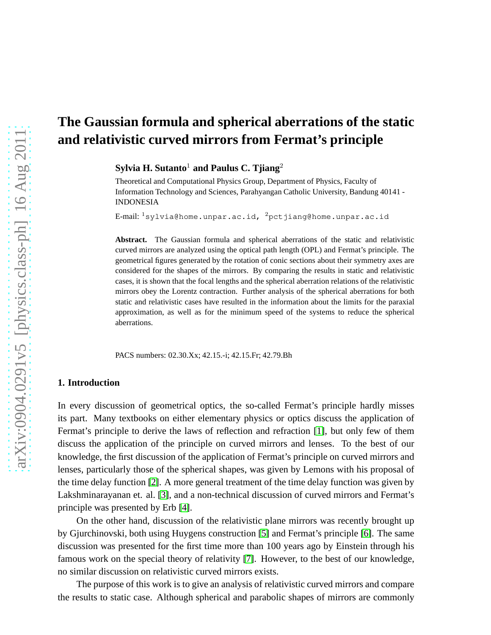# **The Gaussian formula and spherical aberrations of the static and relativistic curved mirrors from Fermat's principle**

**Sylvia H. Sutanto**<sup>1</sup> **and Paulus C. Tjiang**<sup>2</sup>

Theoretical and Computational Physics Group, Department of Physics, Faculty of Information Technology and Sciences, Parahyangan Catholic University, Bandung 40141 - INDONESIA

E-mail:  $1$ sylvia@home.unpar.ac.id,  $2$ pctjiang@home.unpar.ac.id

**Abstract.** The Gaussian formula and spherical aberrations of the static and relativistic curved mirrors are analyzed using the optical path length (OPL) and Fermat's principle. The geometrical figures generated by the rotation of conic sections about their symmetry axes are considered for the shapes of the mirrors. By comparing the results in static and relativistic cases, it is shown that the focal lengths and the spherical aberration relations of the relativistic mirrors obey the Lorentz contraction. Further analysis of the spherical aberrations for both static and relativistic cases have resulted in the information about the limits for the paraxial approximation, as well as for the minimum speed of the systems to reduce the spherical aberrations.

PACS numbers: 02.30.Xx; 42.15.-i; 42.15.Fr; 42.79.Bh

## **1. Introduction**

In every discussion of geometrical optics, the so-called Fermat's principle hardly misses its part. Many textbooks on either elementary physics or optics discuss the application of Fermat's principle to derive the laws of reflection and refraction [\[1\]](#page-14-0), but only few of them discuss the application of the principle on curved mirrors and lenses. To the best of our knowledge, the first discussion of the application of Fermat's principle on curved mirrors and lenses, particularly those of the spherical shapes, was given by Lemons with his proposal of the time delay function [\[2\]](#page-14-1). A more general treatment of the time delay function was given by Lakshminarayanan et. al. [\[3\]](#page-14-2), and a non-technical discussion of curved mirrors and Fermat's principle was presented by Erb [\[4\]](#page-14-3).

On the other hand, discussion of the relativistic plane mirrors was recently brought up by Gjurchinovski, both using Huygens construction [\[5\]](#page-14-4) and Fermat's principle [\[6\]](#page-14-5). The same discussion was presented for the first time more than 100 years ago by Einstein through his famous work on the special theory of relativity [\[7\]](#page-14-6). However, to the best of our knowledge, no similar discussion on relativistic curved mirrors exists.

The purpose of this work is to give an analysis of relativistic curved mirrors and compare the results to static case. Although spherical and parabolic shapes of mirrors are commonly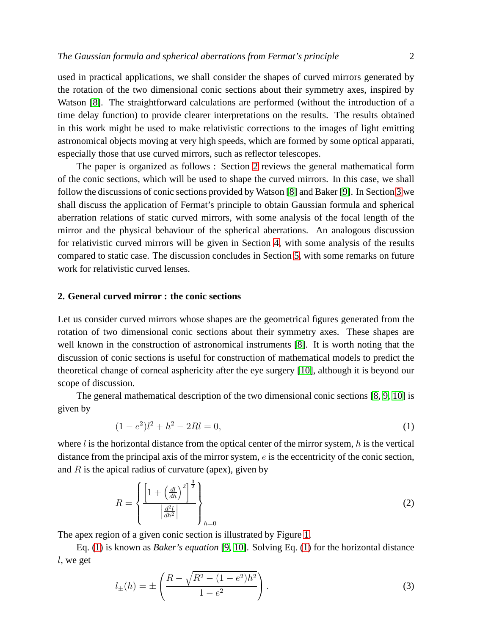used in practical applications, we shall consider the shapes of curved mirrors generated by the rotation of the two dimensional conic sections about their symmetry axes, inspired by Watson [\[8\]](#page-14-7). The straightforward calculations are performed (without the introduction of a time delay function) to provide clearer interpretations on the results. The results obtained in this work might be used to make relativistic corrections to the images of light emitting astronomical objects moving at very high speeds, which are formed by some optical apparati, especially those that use curved mirrors, such as reflector telescopes.

The paper is organized as follows : Section [2](#page-1-0) reviews the general mathematical form of the conic sections, which will be used to shape the curved mirrors. In this case, we shall follow the discussions of conic sections provided by Watson [\[8\]](#page-14-7) and Baker [\[9\]](#page-14-8). In Section [3](#page-2-0) we shall discuss the application of Fermat's principle to obtain Gaussian formula and spherical aberration relations of static curved mirrors, with some analysis of the focal length of the mirror and the physical behaviour of the spherical aberrations. An analogous discussion for relativistic curved mirrors will be given in Section [4,](#page-8-0) with some analysis of the results compared to static case. The discussion concludes in Section [5,](#page-12-0) with some remarks on future work for relativistic curved lenses.

### <span id="page-1-0"></span>**2. General curved mirror : the conic sections**

Let us consider curved mirrors whose shapes are the geometrical figures generated from the rotation of two dimensional conic sections about their symmetry axes. These shapes are well known in the construction of astronomical instruments [\[8\]](#page-14-7). It is worth noting that the discussion of conic sections is useful for construction of mathematical models to predict the theoretical change of corneal asphericity after the eye surgery [\[10\]](#page-14-9), although it is beyond our scope of discussion.

The general mathematical description of the two dimensional conic sections [\[8,](#page-14-7) [9,](#page-14-8) [10\]](#page-14-9) is given by

<span id="page-1-1"></span>
$$
(1 - e2)l2 + h2 - 2Rl = 0,
$$
\n(1)

where  $l$  is the horizontal distance from the optical center of the mirror system, h is the vertical distance from the principal axis of the mirror system, e is the eccentricity of the conic section, and  $R$  is the apical radius of curvature (apex), given by

$$
R = \left\{ \frac{\left[1 + \left(\frac{dl}{dh}\right)^2\right]^{\frac{3}{2}}}{\left|\frac{d^2l}{dh^2}\right|} \right\}_{h=0} \tag{2}
$$

The apex region of a given conic section is illustrated by Figure [1.](#page-2-1)

Eq. [\(1\)](#page-1-1) is known as *Baker's equation* [\[9,](#page-14-8) [10\]](#page-14-9). Solving Eq. [\(1\)](#page-1-1) for the horizontal distance l, we get

<span id="page-1-2"></span>
$$
l_{\pm}(h) = \pm \left( \frac{R - \sqrt{R^2 - (1 - e^2)h^2}}{1 - e^2} \right).
$$
 (3)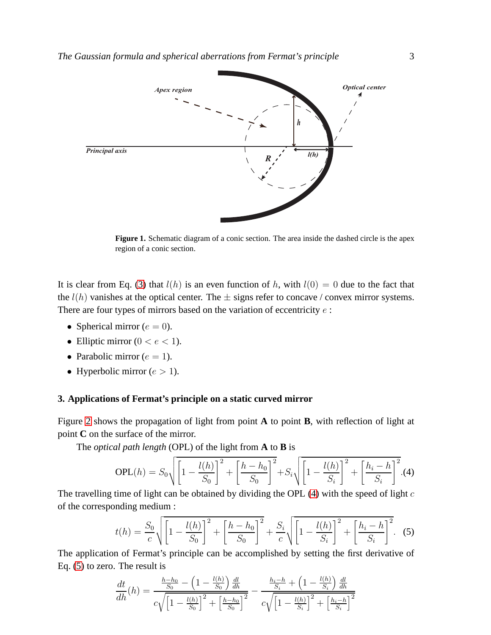

<span id="page-2-1"></span>**Figure 1.** Schematic diagram of a conic section. The area inside the dashed circle is the apex region of a conic section.

It is clear from Eq. [\(3\)](#page-1-2) that  $l(h)$  is an even function of h, with  $l(0) = 0$  due to the fact that the  $l(h)$  vanishes at the optical center. The  $\pm$  signs refer to concave / convex mirror systems. There are four types of mirrors based on the variation of eccentricity  $e$ :

- Spherical mirror ( $e = 0$ ).
- Elliptic mirror ( $0 < e < 1$ ).
- Parabolic mirror ( $e = 1$ ).
- Hyperbolic mirror  $(e > 1)$ .

#### <span id="page-2-0"></span>**3. Applications of Fermat's principle on a static curved mirror**

Figure [2](#page-3-0) shows the propagation of light from point **A** to point **B**, with reflection of light at point **C** on the surface of the mirror.

The *optical path length* (OPL) of the light from **A** to **B** is

<span id="page-2-2"></span>
$$
OPL(h) = S_0 \sqrt{\left[1 - \frac{l(h)}{S_0}\right]^2 + \left[\frac{h - h_0}{S_0}\right]^2} + S_i \sqrt{\left[1 - \frac{l(h)}{S_i}\right]^2 + \left[\frac{h_i - h}{S_i}\right]^2}.
$$
(4)

The travelling time of light can be obtained by dividing the OPL  $(4)$  with the speed of light c of the corresponding medium :

<span id="page-2-3"></span>
$$
t(h) = \frac{S_0}{c} \sqrt{\left[1 - \frac{l(h)}{S_0}\right]^2 + \left[\frac{h - h_0}{S_0}\right]^2 + \frac{S_i}{c} \sqrt{\left[1 - \frac{l(h)}{S_i}\right]^2 + \left[\frac{h_i - h}{S_i}\right]^2}.
$$
 (5)

The application of Fermat's principle can be accomplished by setting the first derivative of Eq. [\(5\)](#page-2-3) to zero. The result is

<span id="page-2-4"></span>
$$
\frac{dt}{dh}(h) = \frac{\frac{h - h_0}{S_0} - \left(1 - \frac{l(h)}{S_0}\right)\frac{dl}{dh}}{c\sqrt{\left[1 - \frac{l(h)}{S_0}\right]^2 + \left[\frac{h - h_0}{S_0}\right]^2}} - \frac{\frac{h_i - h}{S_i} + \left(1 - \frac{l(h)}{S_i}\right)\frac{dl}{dh}}{c\sqrt{\left[1 - \frac{l(h)}{S_i}\right]^2 + \left[\frac{h_i - h}{S_i}\right]^2}}
$$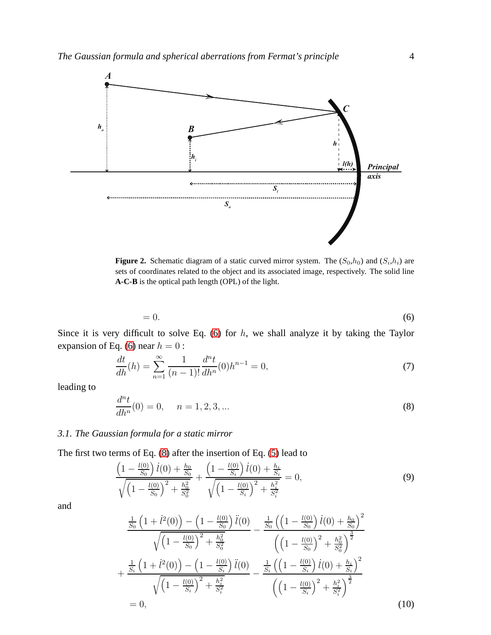

<span id="page-3-0"></span>**Figure 2.** Schematic diagram of a static curved mirror system. The  $(S_0, h_0)$  and  $(S_i, h_i)$  are sets of coordinates related to the object and its associated image, respectively. The solid line **A-C-B** is the optical path length (OPL) of the light.

$$
=0.\t\t(6)
$$

Since it is very difficult to solve Eq.  $(6)$  for  $h$ , we shall analyze it by taking the Taylor expansion of Eq. [\(6\)](#page-2-4) near  $h = 0$ :

<span id="page-3-4"></span>
$$
\frac{dt}{dh}(h) = \sum_{n=1}^{\infty} \frac{1}{(n-1)!} \frac{d^n t}{dh^n}(0) h^{n-1} = 0,
$$
\n(7)

leading to

<span id="page-3-1"></span>
$$
\frac{d^n t}{dh^n}(0) = 0, \quad n = 1, 2, 3, \dots
$$
\n(8)

## *3.1. The Gaussian formula for a static mirror*

The first two terms of Eq. [\(8\)](#page-3-1) after the insertion of Eq. [\(5\)](#page-2-3) lead to

<span id="page-3-2"></span>
$$
\frac{\left(1 - \frac{l(0)}{S_0}\right)l(0) + \frac{h_0}{S_0}}{\sqrt{\left(1 - \frac{l(0)}{S_0}\right)^2 + \frac{h_0^2}{S_0^2}}} + \frac{\left(1 - \frac{l(0)}{S_i}\right)l(0) + \frac{h_i}{S_i}}{\sqrt{\left(1 - \frac{l(0)}{S_i}\right)^2 + \frac{h_i^2}{S_i^2}}} = 0,
$$
\n(9)

and

<span id="page-3-3"></span>
$$
\frac{\frac{1}{S_0} \left( 1 + \dot{l}^2(0) \right) - \left( 1 - \frac{l(0)}{S_0} \right) \ddot{l}(0)}{\sqrt{\left( 1 - \frac{l(0)}{S_0} \right)^2 + \frac{h_0^2}{S_0^2}}} - \frac{\frac{1}{S_0} \left( \left( 1 - \frac{l(0)}{S_0} \right) \dot{l}(0) + \frac{h_0}{S_0} \right)^2}{\left( \left( 1 - \frac{l(0)}{S_0} \right)^2 + \frac{h_0^2}{S_0^2} \right)^{\frac{3}{2}}} + \frac{\frac{1}{S_i} \left( 1 + \dot{l}^2(0) \right) - \left( 1 - \frac{l(0)}{S_i} \right) \ddot{l}(0)}{\sqrt{\left( 1 - \frac{l(0)}{S_i} \right)^2 + \frac{h_i^2}{S_i^2}}} - \frac{\frac{1}{S_i} \left( \left( 1 - \frac{l(0)}{S_i} \right) \dot{l}(0) + \frac{h_i}{S_i} \right)^2}{\left( \left( 1 - \frac{l(0)}{S_i} \right)^2 + \frac{h_i^2}{S_i^2} \right)^{\frac{3}{2}}} = 0,
$$
\n(10)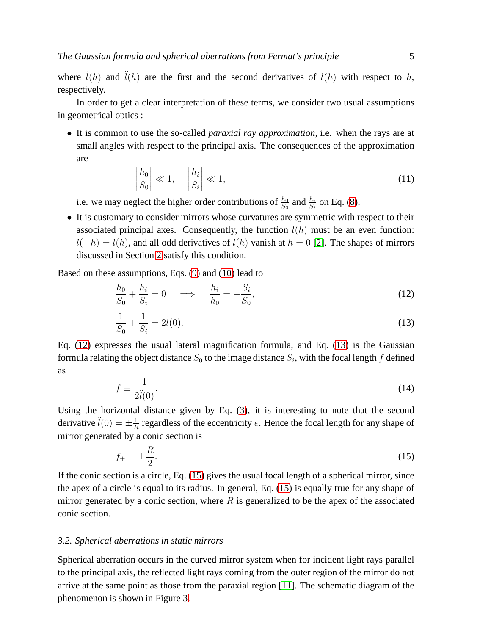where  $\dot{i}(h)$  and  $\ddot{i}(h)$  are the first and the second derivatives of  $l(h)$  with respect to h, respectively.

In order to get a clear interpretation of these terms, we consider two usual assumptions in geometrical optics :

• It is common to use the so-called *paraxial ray approximation*, i.e. when the rays are at small angles with respect to the principal axis. The consequences of the approximation are

<span id="page-4-3"></span>
$$
\left|\frac{h_0}{S_0}\right| \ll 1, \quad \left|\frac{h_i}{S_i}\right| \ll 1,\tag{11}
$$

i.e. we may neglect the higher order contributions of  $\frac{h_0}{S_0}$  and  $\frac{h_i}{S_i}$  on Eq. [\(8\)](#page-3-1).

• It is customary to consider mirrors whose curvatures are symmetric with respect to their associated principal axes. Consequently, the function  $l(h)$  must be an even function:  $l(-h) = l(h)$ , and all odd derivatives of  $l(h)$  vanish at  $h = 0$  [\[2\]](#page-14-1). The shapes of mirrors discussed in Section [2](#page-1-0) satisfy this condition.

Based on these assumptions, Eqs. [\(9\)](#page-3-2) and [\(10\)](#page-3-3) lead to

<span id="page-4-0"></span>
$$
\frac{h_0}{S_0} + \frac{h_i}{S_i} = 0 \quad \Longrightarrow \quad \frac{h_i}{h_0} = -\frac{S_i}{S_0},\tag{12}
$$

<span id="page-4-1"></span>
$$
\frac{1}{S_0} + \frac{1}{S_i} = 2\ddot{l}(0). \tag{13}
$$

Eq. [\(12\)](#page-4-0) expresses the usual lateral magnification formula, and Eq. [\(13\)](#page-4-1) is the Gaussian formula relating the object distance  $S_0$  to the image distance  $S_i$ , with the focal length  $f$  defined as

$$
f \equiv \frac{1}{2\ddot{l}(0)}.\tag{14}
$$

Using the horizontal distance given by Eq. [\(3\)](#page-1-2), it is interesting to note that the second derivative  $\ddot{l}(0) = \pm \frac{1}{R}$  $\frac{1}{R}$  regardless of the eccentricity e. Hence the focal length for any shape of mirror generated by a conic section is

<span id="page-4-2"></span>
$$
f_{\pm} = \pm \frac{R}{2}.\tag{15}
$$

If the conic section is a circle, Eq. [\(15\)](#page-4-2) gives the usual focal length of a spherical mirror, since the apex of a circle is equal to its radius. In general, Eq. [\(15\)](#page-4-2) is equally true for any shape of mirror generated by a conic section, where  $R$  is generalized to be the apex of the associated conic section.

#### <span id="page-4-4"></span>*3.2. Spherical aberrations in static mirrors*

Spherical aberration occurs in the curved mirror system when for incident light rays parallel to the principal axis, the reflected light rays coming from the outer region of the mirror do not arrive at the same point as those from the paraxial region [\[11\]](#page-14-10). The schematic diagram of the phenomenon is shown in Figure [3.](#page-5-0)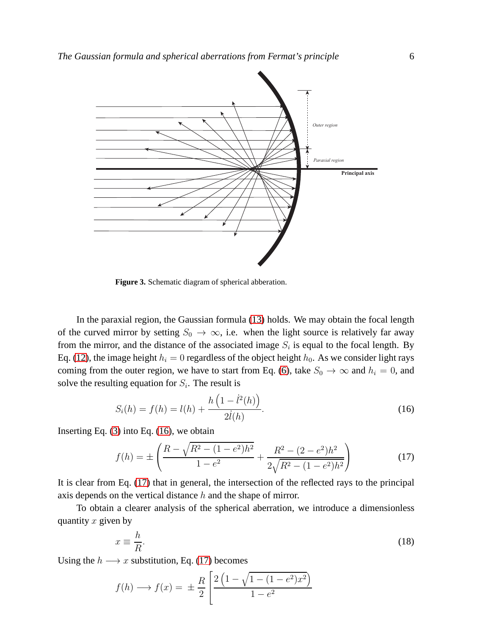

<span id="page-5-0"></span>**Figure 3.** Schematic diagram of spherical abberation.

In the paraxial region, the Gaussian formula [\(13\)](#page-4-1) holds. We may obtain the focal length of the curved mirror by setting  $S_0 \to \infty$ , i.e. when the light source is relatively far away from the mirror, and the distance of the associated image  $S_i$  is equal to the focal length. By Eq. [\(12\)](#page-4-0), the image height  $h_i = 0$  regardless of the object height  $h_0$ . As we consider light rays coming from the outer region, we have to start from Eq. [\(6\)](#page-2-4), take  $S_0 \rightarrow \infty$  and  $h_i = 0$ , and solve the resulting equation for  $S_i$ . The result is

<span id="page-5-1"></span>
$$
S_i(h) = f(h) = l(h) + \frac{h\left(1 - \dot{l}^2(h)\right)}{2\dot{l}(h)}.
$$
\n(16)

Inserting Eq.  $(3)$  into Eq.  $(16)$ , we obtain

<span id="page-5-2"></span>
$$
f(h) = \pm \left( \frac{R - \sqrt{R^2 - (1 - e^2)h^2}}{1 - e^2} + \frac{R^2 - (2 - e^2)h^2}{2\sqrt{R^2 - (1 - e^2)h^2}} \right)
$$
(17)

It is clear from Eq. [\(17\)](#page-5-2) that in general, the intersection of the reflected rays to the principal axis depends on the vertical distance h and the shape of mirror.

To obtain a clearer analysis of the spherical aberration, we introduce a dimensionless quantity  $x$  given by

<span id="page-5-4"></span>
$$
x \equiv \frac{h}{R}.\tag{18}
$$

Using the  $h \longrightarrow x$  substitution, Eq. [\(17\)](#page-5-2) becomes

<span id="page-5-3"></span>
$$
f(h) \longrightarrow f(x) = \pm \frac{R}{2} \left[ \frac{2(1 - \sqrt{1 - (1 - e^2)x^2})}{1 - e^2} \right]
$$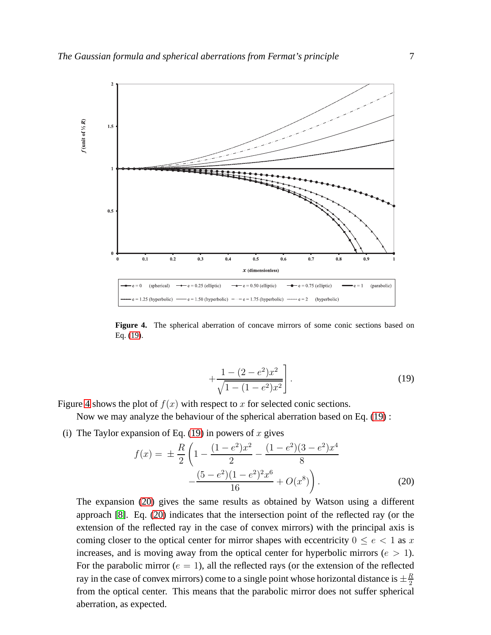

<span id="page-6-0"></span>**Figure 4.** The spherical aberration of concave mirrors of some conic sections based on Eq. [\(19\)](#page-5-3).

$$
+\frac{1-(2-e^2)x^2}{\sqrt{1-(1-e^2)x^2}}\bigg].
$$
\n(19)

Figure [4](#page-6-0) shows the plot of  $f(x)$  with respect to x for selected conic sections.

Now we may analyze the behaviour of the spherical aberration based on Eq. [\(19\)](#page-5-3) :

(i) The Taylor expansion of Eq. [\(19\)](#page-5-3) in powers of x gives

<span id="page-6-1"></span>
$$
f(x) = \pm \frac{R}{2} \left( 1 - \frac{(1 - e^2)x^2}{2} - \frac{(1 - e^2)(3 - e^2)x^4}{8} - \frac{(5 - e^2)(1 - e^2)^2 x^6}{16} + O(x^8) \right).
$$
 (20)

The expansion [\(20\)](#page-6-1) gives the same results as obtained by Watson using a different approach [\[8\]](#page-14-7). Eq. [\(20\)](#page-6-1) indicates that the intersection point of the reflected ray (or the extension of the reflected ray in the case of convex mirrors) with the principal axis is coming closer to the optical center for mirror shapes with eccentricity  $0 \le e < 1$  as x increases, and is moving away from the optical center for hyperbolic mirrors ( $e > 1$ ). For the parabolic mirror ( $e = 1$ ), all the reflected rays (or the extension of the reflected ray in the case of convex mirrors) come to a single point whose horizontal distance is  $\pm \frac{R}{2}$ 2 from the optical center. This means that the parabolic mirror does not suffer spherical aberration, as expected.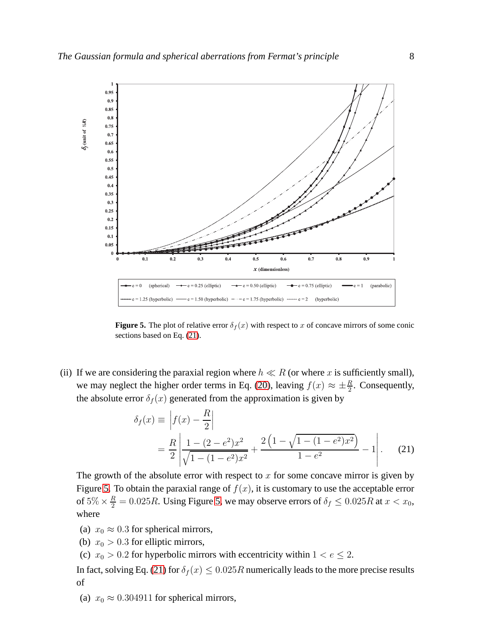

<span id="page-7-1"></span>**Figure 5.** The plot of relative error  $\delta_f(x)$  with respect to x of concave mirrors of some conic sections based on Eq. [\(21\)](#page-7-0).

(ii) If we are considering the paraxial region where  $h \ll R$  (or where x is sufficiently small), we may neglect the higher order terms in Eq. [\(20\)](#page-6-1), leaving  $f(x) \approx \pm \frac{R}{2}$ . Consequently, the absolute error  $\delta_f(x)$  generated from the approximation is given by

<span id="page-7-0"></span>
$$
\delta_f(x) \equiv \left| f(x) - \frac{R}{2} \right|
$$
  
=  $\frac{R}{2} \left| \frac{1 - (2 - e^2)x^2}{\sqrt{1 - (1 - e^2)x^2}} + \frac{2\left(1 - \sqrt{1 - (1 - e^2)x^2}\right)}{1 - e^2} - 1 \right|.$  (21)

The growth of the absolute error with respect to  $x$  for some concave mirror is given by Figure [5.](#page-7-1) To obtain the paraxial range of  $f(x)$ , it is customary to use the acceptable error of  $5\% \times \frac{R}{2} = 0.025R$ . Using Figure [5,](#page-7-1) we may observe errors of  $\delta_f \leq 0.025R$  at  $x < x_0$ , where

- (a)  $x_0 \approx 0.3$  for spherical mirrors,
- (b)  $x_0 > 0.3$  for elliptic mirrors,
- (c)  $x_0 > 0.2$  for hyperbolic mirrors with eccentricity within  $1 < e \leq 2$ .

In fact, solving Eq. [\(21\)](#page-7-0) for  $\delta_f(x) \leq 0.025R$  numerically leads to the more precise results of

(a)  $x_0 \approx 0.304911$  for spherical mirrors,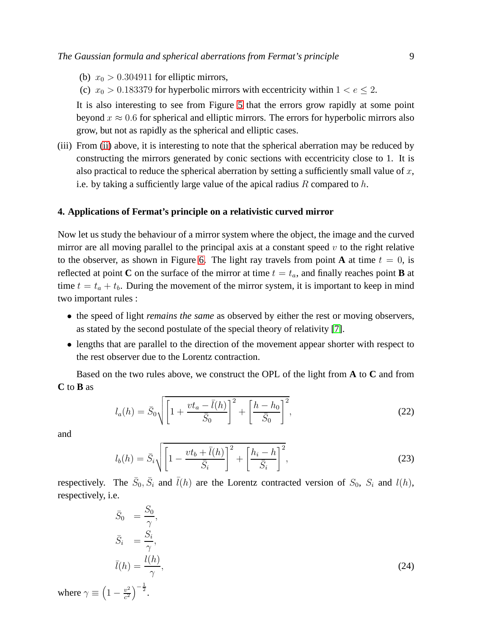- <span id="page-8-1"></span>(b)  $x_0 > 0.304911$  for elliptic mirrors,
- (c)  $x_0 > 0.183379$  for hyperbolic mirrors with eccentricity within  $1 < e \leq 2$ .

It is also interesting to see from Figure [5](#page-7-1) that the errors grow rapidly at some point beyond  $x \approx 0.6$  for spherical and elliptic mirrors. The errors for hyperbolic mirrors also grow, but not as rapidly as the spherical and elliptic cases.

(iii) From [\(ii\)](#page-8-1) above, it is interesting to note that the spherical aberration may be reduced by constructing the mirrors generated by conic sections with eccentricity close to 1. It is also practical to reduce the spherical aberration by setting a sufficiently small value of  $x$ , i.e. by taking a sufficiently large value of the apical radius  $R$  compared to  $h$ .

#### <span id="page-8-0"></span>**4. Applications of Fermat's principle on a relativistic curved mirror**

Now let us study the behaviour of a mirror system where the object, the image and the curved mirror are all moving parallel to the principal axis at a constant speed  $v$  to the right relative to the observer, as shown in Figure [6.](#page-9-0) The light ray travels from point **A** at time  $t = 0$ , is reflected at point **C** on the surface of the mirror at time  $t = t_a$ , and finally reaches point **B** at time  $t = t_a + t_b$ . During the movement of the mirror system, it is important to keep in mind two important rules :

- the speed of light *remains the same* as observed by either the rest or moving observers, as stated by the second postulate of the special theory of relativity [\[7\]](#page-14-6).
- lengths that are parallel to the direction of the movement appear shorter with respect to the rest observer due to the Lorentz contraction.

Based on the two rules above, we construct the OPL of the light from **A** to **C** and from **C** to **B** as

<span id="page-8-2"></span>
$$
l_a(h) = \bar{S}_0 \sqrt{\left[1 + \frac{vt_a - \bar{l}(h)}{\bar{S}_0}\right]^2 + \left[\frac{h - h_0}{\bar{S}_0}\right]^2},
$$
\n(22)

and

<span id="page-8-3"></span>
$$
l_b(h) = \bar{S}_i \sqrt{\left[1 - \frac{vt_b + \bar{l}(h)}{\bar{S}_i}\right]^2 + \left[\frac{h_i - h}{\bar{S}_i}\right]^2},\tag{23}
$$

respectively. The  $\bar{S}_0$ ,  $\bar{S}_i$  and  $\bar{l}(h)$  are the Lorentz contracted version of  $S_0$ ,  $S_i$  and  $l(h)$ , respectively, i.e.

$$
\bar{S}_0 = \frac{S_0}{\gamma},
$$
\n
$$
\bar{S}_i = \frac{S_i}{\gamma},
$$
\n
$$
\bar{l}(h) = \frac{l(h)}{\gamma},
$$
\nwhere  $\gamma \equiv \left(1 - \frac{v^2}{c^2}\right)^{-\frac{1}{2}}$ .

\n(24)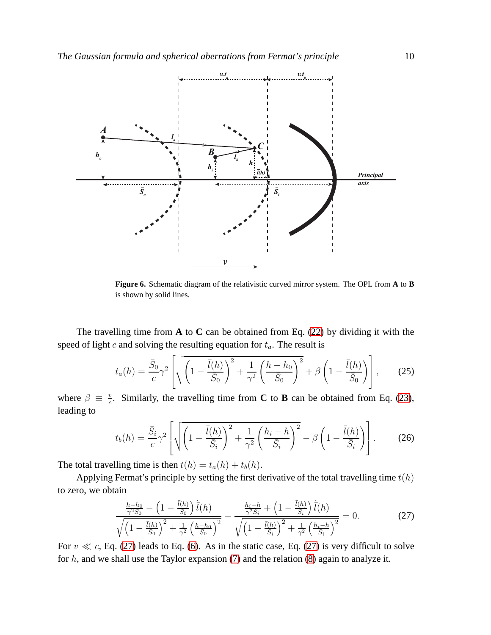

<span id="page-9-0"></span>**Figure 6.** Schematic diagram of the relativistic curved mirror system. The OPL from **A** to **B** is shown by solid lines.

The travelling time from **A** to **C** can be obtained from Eq. [\(22\)](#page-8-2) by dividing it with the speed of light c and solving the resulting equation for  $t_a$ . The result is

$$
t_a(h) = \frac{\bar{S}_0}{c}\gamma^2 \left[ \sqrt{\left(1 - \frac{\bar{l}(h)}{\bar{S}_0}\right)^2 + \frac{1}{\gamma^2} \left(\frac{h - h_0}{\bar{S}_0}\right)^2} + \beta \left(1 - \frac{\bar{l}(h)}{\bar{S}_0}\right) \right],
$$
 (25)

where  $\beta \equiv \frac{v}{c}$  $\frac{v}{c}$ . Similarly, the travelling time from **C** to **B** can be obtained from Eq. [\(23\)](#page-8-3), leading to

$$
t_b(h) = \frac{\bar{S}_i}{c}\gamma^2 \left[ \sqrt{\left(1 - \frac{\bar{l}(h)}{\bar{S}_i}\right)^2 + \frac{1}{\gamma^2} \left(\frac{h_i - h}{\bar{S}_i}\right)^2} - \beta \left(1 - \frac{\bar{l}(h)}{\bar{S}_i}\right) \right].
$$
 (26)

The total travelling time is then  $t(h) = t_a(h) + t_b(h)$ .

Applying Fermat's principle by setting the first derivative of the total travelling time  $t(h)$ to zero, we obtain

<span id="page-9-1"></span>
$$
\frac{\frac{h-h_0}{\gamma^2 S_0} - \left(1 - \frac{\bar{l}(h)}{S_0}\right) \bar{l}(h)}{\sqrt{\left(1 - \frac{\bar{l}(h)}{S_0}\right)^2 + \frac{1}{\gamma^2} \left(\frac{h-h_0}{S_0}\right)^2}} - \frac{\frac{h_i - h}{\gamma^2 S_i} + \left(1 - \frac{\bar{l}(h)}{S_i}\right) \bar{l}(h)}{\sqrt{\left(1 - \frac{\bar{l}(h)}{S_i}\right)^2 + \frac{1}{\gamma^2} \left(\frac{h_i - h}{S_i}\right)^2}} = 0.
$$
\n(27)

For  $v \ll c$ , Eq. [\(27\)](#page-9-1) leads to Eq. [\(6\)](#page-2-4). As in the static case, Eq. (27) is very difficult to solve for  $h$ , and we shall use the Taylor expansion [\(7\)](#page-3-4) and the relation [\(8\)](#page-3-1) again to analyze it.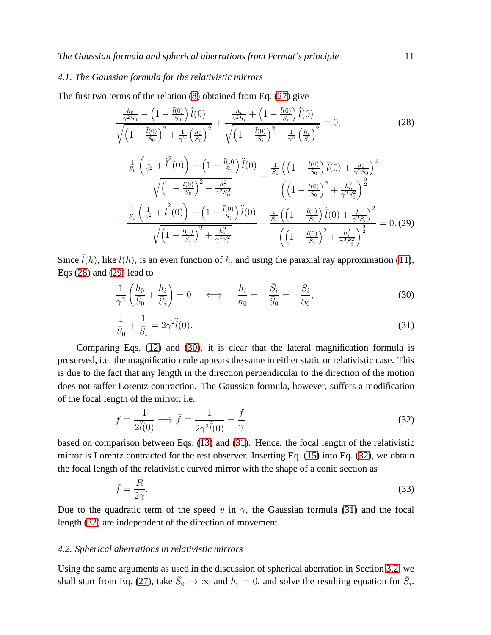#### *4.1. The Gaussian formula for the relativistic mirrors*

The first two terms of the relation [\(8\)](#page-3-1) obtained from Eq. [\(27\)](#page-9-1) give

<span id="page-10-1"></span><span id="page-10-0"></span>
$$
\frac{\frac{h_0}{\gamma^2 S_0} - \left(1 - \frac{\bar{l}(0)}{S_0}\right) \bar{l}(0)}{\sqrt{\left(1 - \frac{\bar{l}(0)}{S_0}\right)^2 + \frac{1}{\gamma^2} \left(\frac{h_0}{S_0}\right)^2}} + \frac{\frac{h_i}{\gamma^2 S_i} + \left(1 - \frac{\bar{l}(0)}{S_i}\right) \bar{l}(0)}{\sqrt{\left(1 - \frac{\bar{l}(0)}{S_i}\right)^2 + \frac{1}{\gamma^2} \left(\frac{h_i}{S_i}\right)^2}} = 0,
$$
\n(28)  
\n
$$
\frac{\frac{1}{S_0} \left(\frac{1}{\gamma^2} + \bar{l}^2(0)\right) - \left(1 - \frac{\bar{l}(0)}{S_0}\right) \bar{l}(0)}{\sqrt{\left(1 - \frac{\bar{l}(0)}{S_0}\right)^2 + \frac{h_0^2}{\gamma^2 S_0^2}}} - \frac{\frac{1}{S_0} \left(\left(1 - \frac{\bar{l}(0)}{S_0}\right) \bar{l}(0) + \frac{h_0}{\gamma^2 S_0}\right)^2}{\left(\left(1 - \frac{\bar{l}(0)}{S_0}\right)^2 + \frac{h_0^2}{\gamma^2 S_0^2}\right)^{\frac{3}{2}}}
$$
\n
$$
+ \frac{\frac{1}{S_i} \left(\frac{1}{\gamma^2} + \bar{l}^2(0)\right) - \left(1 - \frac{\bar{l}(0)}{S_i}\right) \bar{l}(0)}{\sqrt{\left(1 - \frac{\bar{l}(0)}{S_i}\right)^2 + \frac{h_i^2}{\gamma^2 S_i^2}}} - \frac{\frac{1}{S_i} \left(\left(1 - \frac{\bar{l}(0)}{S_i}\right) \bar{l}(0) + \frac{h_i}{\gamma^2 S_i}\right)^2}{\left(\left(1 - \frac{\bar{l}(0)}{S_i}\right)^2 + \frac{h_i^2}{\gamma^2 S_i^2}\right)^{\frac{3}{2}}} = 0.
$$
\n(29)

Since  $\bar{l}(h)$ , like  $l(h)$ , is an even function of h, and using the paraxial ray approximation [\(11\)](#page-4-3), Eqs [\(28\)](#page-10-0) and [\(29\)](#page-10-1) lead to

<span id="page-10-2"></span>
$$
\frac{1}{\gamma^2} \left( \frac{h_0}{\bar{S}_0} + \frac{h_i}{\bar{S}_i} \right) = 0 \quad \iff \quad \frac{h_i}{h_0} = -\frac{\bar{S}_i}{\bar{S}_0} = -\frac{S_i}{S_0},\tag{30}
$$

<span id="page-10-3"></span>
$$
\frac{1}{\bar{S}_0} + \frac{1}{\bar{S}_i} = 2\gamma^2 \ddot{\bar{l}}(0). \tag{31}
$$

Comparing Eqs. [\(12\)](#page-4-0) and [\(30\)](#page-10-2), it is clear that the lateral magnification formula is preserved, i.e. the magnification rule appears the same in either static or relativistic case. This is due to the fact that any length in the direction perpendicular to the direction of the motion does not suffer Lorentz contraction. The Gaussian formula, however, suffers a modification of the focal length of the mirror, i.e.

<span id="page-10-4"></span>
$$
f \equiv \frac{1}{2\ddot{l}(0)} \Longrightarrow \bar{f} \equiv \frac{1}{2\gamma^2 \ddot{l}(0)} = \frac{f}{\gamma},\tag{32}
$$

based on comparison between Eqs. [\(13\)](#page-4-1) and [\(31\)](#page-10-3). Hence, the focal length of the relativistic mirror is Lorentz contracted for the rest observer. Inserting Eq. [\(15\)](#page-4-2) into Eq. [\(32\)](#page-10-4), we obtain the focal length of the relativistic curved mirror with the shape of a conic section as

<span id="page-10-5"></span>
$$
\bar{f} = \frac{R}{2\gamma}.\tag{33}
$$

Due to the quadratic term of the speed v in  $\gamma$ , the Gaussian formula [\(31\)](#page-10-3) and the focal length [\(32\)](#page-10-4) are independent of the direction of movement.

#### *4.2. Spherical aberrations in relativistic mirrors*

Using the same arguments as used in the discussion of spherical aberration in Section [3.2,](#page-4-4) we shall start from Eq. [\(27\)](#page-9-1), take  $\bar{S}_0 \to \infty$  and  $h_i = 0$ , and solve the resulting equation for  $\bar{S}_i$ .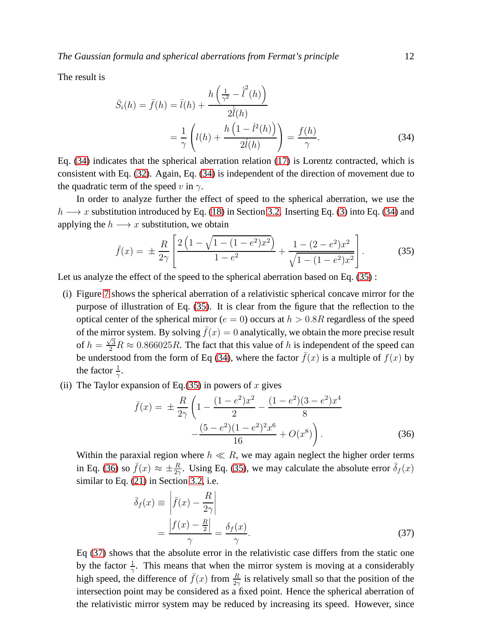The result is

<span id="page-11-0"></span>
$$
\bar{S}_{i}(h) = \bar{f}(h) = \bar{l}(h) + \frac{h\left(\frac{1}{\gamma^{2}} - \bar{l}^{2}(h)\right)}{2\bar{l}(h)}
$$

$$
= \frac{1}{\gamma} \left( l(h) + \frac{h\left(1 - \bar{l}^{2}(h)\right)}{2\bar{l}(h)} \right) = \frac{f(h)}{\gamma}.
$$
(34)

Eq. [\(34\)](#page-11-0) indicates that the spherical aberration relation [\(17\)](#page-5-2) is Lorentz contracted, which is consistent with Eq. [\(32\)](#page-10-4). Again, Eq. [\(34\)](#page-11-0) is independent of the direction of movement due to the quadratic term of the speed v in  $\gamma$ .

In order to analyze further the effect of speed to the spherical aberration, we use the  $h \longrightarrow x$  substitution introduced by Eq. [\(18\)](#page-5-4) in Section [3.2.](#page-4-4) Inserting Eq. [\(3\)](#page-1-2) into Eq. [\(34\)](#page-11-0) and applying the  $h \longrightarrow x$  substitution, we obtain

<span id="page-11-1"></span>
$$
\bar{f}(x) = \pm \frac{R}{2\gamma} \left[ \frac{2\left(1 - \sqrt{1 - (1 - e^2)x^2}\right)}{1 - e^2} + \frac{1 - (2 - e^2)x^2}{\sqrt{1 - (1 - e^2)x^2}} \right].
$$
 (35)

Let us analyze the effect of the speed to the spherical aberration based on Eq. [\(35\)](#page-11-1):

- (i) Figure [7](#page-12-1) shows the spherical aberration of a relativistic spherical concave mirror for the purpose of illustration of Eq. [\(35\)](#page-11-1). It is clear from the figure that the reflection to the optical center of the spherical mirror ( $e = 0$ ) occurs at  $h > 0.8R$  regardless of the speed of the mirror system. By solving  $\bar{f}(x) = 0$  analytically, we obtain the more precise result of  $h = \frac{\sqrt{3}}{2}R \approx 0.866025R$ . The fact that this value of h is independent of the speed can be understood from the form of Eq [\(34\)](#page-11-0), where the factor  $\bar{f}(x)$  is a multiple of  $f(x)$  by the factor  $\frac{1}{\gamma}$ .
- (ii) The Taylor expansion of Eq.[\(35\)](#page-11-1) in powers of x gives

<span id="page-11-2"></span>
$$
\bar{f}(x) = \pm \frac{R}{2\gamma} \left( 1 - \frac{(1 - e^2)x^2}{2} - \frac{(1 - e^2)(3 - e^2)x^4}{8} - \frac{(5 - e^2)(1 - e^2)^2 x^6}{16} + O(x^8) \right).
$$
\n(36)

Within the paraxial region where  $h \ll R$ , we may again neglect the higher order terms in Eq. [\(36\)](#page-11-2) so  $\bar{f}(x) \approx \pm \frac{R}{2\gamma}$ . Using Eq. [\(35\)](#page-11-1), we may calculate the absolute error  $\bar{\delta}_f(x)$ similar to Eq. [\(21\)](#page-7-0) in Section [3.2,](#page-4-4) i.e.

<span id="page-11-3"></span>
$$
\bar{\delta}_f(x) \equiv \left| \bar{f}(x) - \frac{R}{2\gamma} \right|
$$
  
= 
$$
\frac{\left| f(x) - \frac{R}{2} \right|}{\gamma} = \frac{\delta_f(x)}{\gamma}.
$$
 (37)

Eq [\(37\)](#page-11-3) shows that the absolute error in the relativistic case differs from the static one by the factor  $\frac{1}{\gamma}$ . This means that when the mirror system is moving at a considerably high speed, the difference of  $\bar{f}(x)$  from  $\frac{R}{2\gamma}$  is relatively small so that the position of the intersection point may be considered as a fixed point. Hence the spherical aberration of the relativistic mirror system may be reduced by increasing its speed. However, since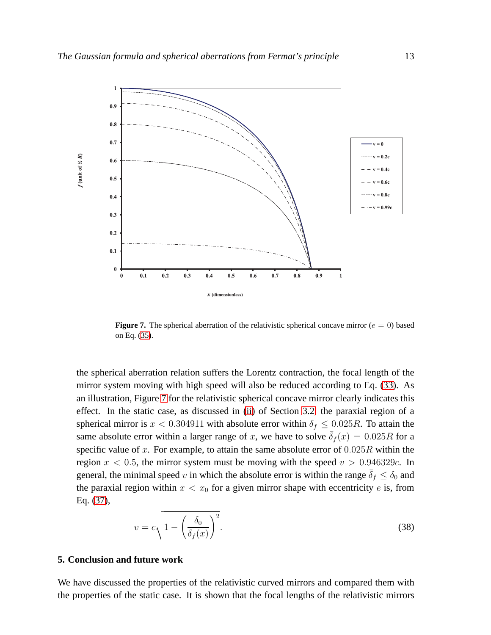

<span id="page-12-1"></span>**Figure 7.** The spherical aberration of the relativistic spherical concave mirror ( $e = 0$ ) based on Eq. [\(35\)](#page-11-1).

the spherical aberration relation suffers the Lorentz contraction, the focal length of the mirror system moving with high speed will also be reduced according to Eq. [\(33\)](#page-10-5). As an illustration, Figure [7](#page-12-1) for the relativistic spherical concave mirror clearly indicates this effect. In the static case, as discussed in [\(ii\)](#page-8-1) of Section [3.2,](#page-4-4) the paraxial region of a spherical mirror is  $x < 0.304911$  with absolute error within  $\delta_f \leq 0.025R$ . To attain the same absolute error within a larger range of x, we have to solve  $\overline{\delta}_f(x) = 0.025R$  for a specific value of x. For example, to attain the same absolute error of  $0.025R$  within the region  $x < 0.5$ , the mirror system must be moving with the speed  $v > 0.946329c$ . In general, the minimal speed v in which the absolute error is within the range  $\bar{\delta}_f \leq \delta_0$  and the paraxial region within  $x < x_0$  for a given mirror shape with eccentricity e is, from Eq. [\(37\)](#page-11-3),

$$
v = c \sqrt{1 - \left(\frac{\delta_0}{\delta_f(x)}\right)^2}.
$$
\n(38)

## <span id="page-12-0"></span>**5. Conclusion and future work**

We have discussed the properties of the relativistic curved mirrors and compared them with the properties of the static case. It is shown that the focal lengths of the relativistic mirrors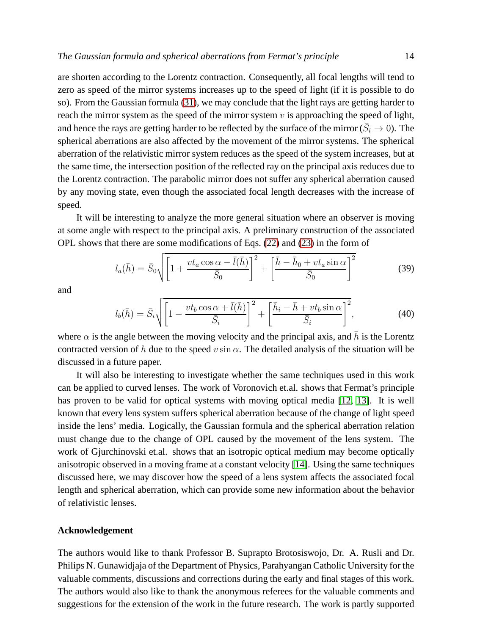are shorten according to the Lorentz contraction. Consequently, all focal lengths will tend to zero as speed of the mirror systems increases up to the speed of light (if it is possible to do so). From the Gaussian formula [\(31\)](#page-10-3), we may conclude that the light rays are getting harder to reach the mirror system as the speed of the mirror system  $v$  is approaching the speed of light, and hence the rays are getting harder to be reflected by the surface of the mirror ( $\bar{S}_i \rightarrow 0$ ). The spherical aberrations are also affected by the movement of the mirror systems. The spherical aberration of the relativistic mirror system reduces as the speed of the system increases, but at the same time, the intersection position of the reflected ray on the principal axis reduces due to the Lorentz contraction. The parabolic mirror does not suffer any spherical aberration caused by any moving state, even though the associated focal length decreases with the increase of speed.

It will be interesting to analyze the more general situation where an observer is moving at some angle with respect to the principal axis. A preliminary construction of the associated OPL shows that there are some modifications of Eqs. [\(22\)](#page-8-2) and [\(23\)](#page-8-3) in the form of

$$
l_a(\bar{h}) = \bar{S}_0 \sqrt{\left[1 + \frac{vt_a \cos \alpha - \bar{l}(\bar{h})}{\bar{S}_0}\right]^2 + \left[\frac{\bar{h} - \bar{h}_0 + vt_a \sin \alpha}{\bar{S}_0}\right]^2}
$$
(39)

and

$$
l_b(\bar{h}) = \bar{S}_i \sqrt{\left[1 - \frac{vt_b \cos \alpha + \bar{l}(\bar{h})}{\bar{S}_i}\right]^2 + \left[\frac{\bar{h}_i - \bar{h} + vt_b \sin \alpha}{\bar{S}_i}\right]^2},\tag{40}
$$

where  $\alpha$  is the angle between the moving velocity and the principal axis, and  $\bar{h}$  is the Lorentz contracted version of h due to the speed v sin  $\alpha$ . The detailed analysis of the situation will be discussed in a future paper.

It will also be interesting to investigate whether the same techniques used in this work can be applied to curved lenses. The work of Voronovich et.al. shows that Fermat's principle has proven to be valid for optical systems with moving optical media [\[12,](#page-14-11) [13\]](#page-14-12). It is well known that every lens system suffers spherical aberration because of the change of light speed inside the lens' media. Logically, the Gaussian formula and the spherical aberration relation must change due to the change of OPL caused by the movement of the lens system. The work of Gjurchinovski et.al. shows that an isotropic optical medium may become optically anisotropic observed in a moving frame at a constant velocity [\[14\]](#page-14-13). Using the same techniques discussed here, we may discover how the speed of a lens system affects the associated focal length and spherical aberration, which can provide some new information about the behavior of relativistic lenses.

#### **Acknowledgement**

The authors would like to thank Professor B. Suprapto Brotosiswojo, Dr. A. Rusli and Dr. Philips N. Gunawidjaja of the Department of Physics, Parahyangan Catholic University for the valuable comments, discussions and corrections during the early and final stages of this work. The authors would also like to thank the anonymous referees for the valuable comments and suggestions for the extension of the work in the future research. The work is partly supported